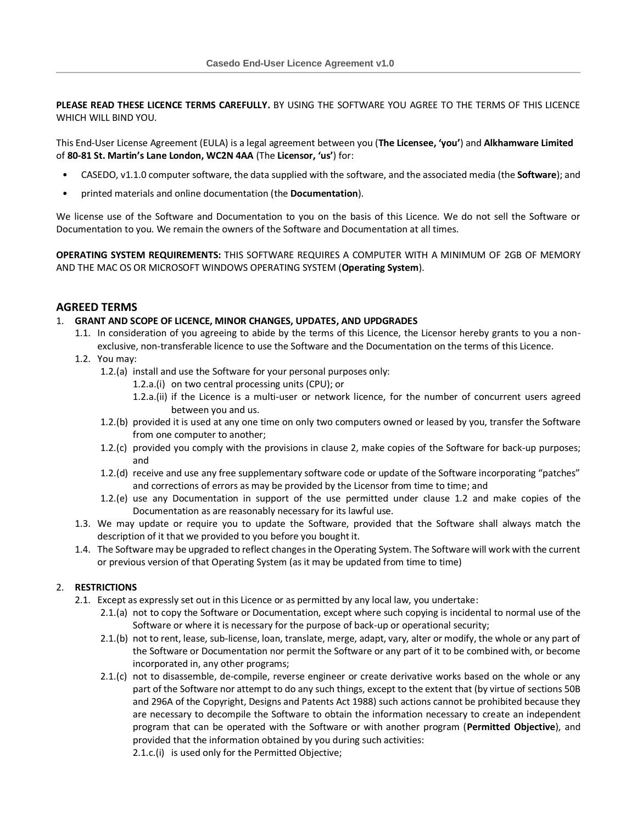**PLEASE READ THESE LICENCE TERMS CAREFULLY.** BY USING THE SOFTWARE YOU AGREE TO THE TERMS OF THIS LICENCE WHICH WILL BIND YOU.

This End-User License Agreement (EULA) is a legal agreement between you (**The Licensee, 'you'**) and **Alkhamware Limited** of **80-81 St. Martin's Lane London, WC2N 4AA** (The **Licensor, 'us'**) for:

- CASEDO, v1.1.0 computer software, the data supplied with the software, and the associated media (the **Software**); and
- printed materials and online documentation (the **Documentation**).

We license use of the Software and Documentation to you on the basis of this Licence. We do not sell the Software or Documentation to you. We remain the owners of the Software and Documentation at all times.

**OPERATING SYSTEM REQUIREMENTS:** THIS SOFTWARE REQUIRES A COMPUTER WITH A MINIMUM OF 2GB OF MEMORY AND THE MAC OS OR MICROSOFT WINDOWS OPERATING SYSTEM (**Operating System**).

## **AGREED TERMS**

### 1. **GRANT AND SCOPE OF LICENCE, MINOR CHANGES, UPDATES, AND UPDGRADES**

- 1.1. In consideration of you agreeing to abide by the terms of this Licence, the Licensor hereby grants to you a nonexclusive, non-transferable licence to use the Software and the Documentation on the terms of this Licence.
- <span id="page-0-1"></span>1.2. You may:
	- 1.2.(a) install and use the Software for your personal purposes only:
		- 1.2.a.(i) on two central processing units (CPU); or
		- 1.2.a.(ii) if the Licence is a multi-user or network licence, for the number of concurrent users agreed between you and us.
	- 1.2.(b) provided it is used at any one time on only two computers owned or leased by you, transfer the Software from one computer to another;
	- 1.2.(c) provided you comply with the provisions in clause [2,](#page-0-0) make copies of the Software for back-up purposes; and
	- 1.2.(d) receive and use any free supplementary software code or update of the Software incorporating "patches" and corrections of errors as may be provided by the Licensor from time to time; and
	- 1.2.(e) use any Documentation in support of the use permitted under clause [1.2](#page-0-1) and make copies of the Documentation as are reasonably necessary for its lawful use.
- 1.3. We may update or require you to update the Software, provided that the Software shall always match the description of it that we provided to you before you bought it.
- 1.4. The Software may be upgraded to reflect changes in the Operating System. The Software will work with the current or previous version of that Operating System (as it may be updated from time to time)

## <span id="page-0-0"></span>2. **RESTRICTIONS**

- 2.1. Except as expressly set out in this Licence or as permitted by any local law, you undertake:
	- 2.1.(a) not to copy the Software or Documentation, except where such copying is incidental to normal use of the Software or where it is necessary for the purpose of back-up or operational security;
	- 2.1.(b) not to rent, lease, sub-license, loan, translate, merge, adapt, vary, alter or modify, the whole or any part of the Software or Documentation nor permit the Software or any part of it to be combined with, or become incorporated in, any other programs;
	- 2.1.(c) not to disassemble, de-compile, reverse engineer or create derivative works based on the whole or any part of the Software nor attempt to do any such things, except to the extent that (by virtue of sections 50B and 296A of the Copyright, Designs and Patents Act 1988) such actions cannot be prohibited because they are necessary to decompile the Software to obtain the information necessary to create an independent program that can be operated with the Software or with another program (**Permitted Objective**), and provided that the information obtained by you during such activities:

2.1.c.(i) is used only for the Permitted Objective;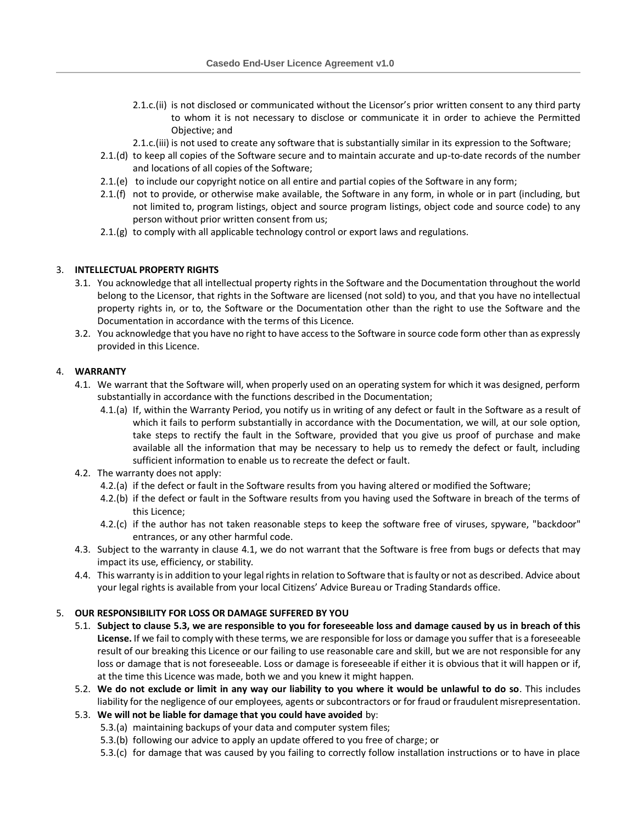- 2.1.c.(ii) is not disclosed or communicated without the Licensor's prior written consent to any third party to whom it is not necessary to disclose or communicate it in order to achieve the Permitted Objective; and
- 2.1.c.(iii) is not used to create any software that is substantially similar in its expression to the Software;
- 2.1.(d) to keep all copies of the Software secure and to maintain accurate and up-to-date records of the number and locations of all copies of the Software;
- 2.1.(e) to include our copyright notice on all entire and partial copies of the Software in any form;
- 2.1.(f) not to provide, or otherwise make available, the Software in any form, in whole or in part (including, but not limited to, program listings, object and source program listings, object code and source code) to any person without prior written consent from us;
- 2.1.(g) to comply with all applicable technology control or export laws and regulations.

### 3. **INTELLECTUAL PROPERTY RIGHTS**

- 3.1. You acknowledge that all intellectual property rights in the Software and the Documentation throughout the world belong to the Licensor, that rights in the Software are licensed (not sold) to you, and that you have no intellectual property rights in, or to, the Software or the Documentation other than the right to use the Software and the Documentation in accordance with the terms of this Licence.
- 3.2. You acknowledge that you have no right to have access to the Software in source code form other than as expressly provided in this Licence.

### <span id="page-1-0"></span>4. **WARRANTY**

- 4.1. We warrant that the Software will, when properly used on an operating system for which it was designed, perform substantially in accordance with the functions described in the Documentation;
	- 4.1.(a) If, within the Warranty Period, you notify us in writing of any defect or fault in the Software as a result of which it fails to perform substantially in accordance with the Documentation, we will, at our sole option, take steps to rectify the fault in the Software, provided that you give us proof of purchase and make available all the information that may be necessary to help us to remedy the defect or fault, including sufficient information to enable us to recreate the defect or fault.
- 4.2. The warranty does not apply:
	- 4.2.(a) if the defect or fault in the Software results from you having altered or modified the Software;
	- 4.2.(b) if the defect or fault in the Software results from you having used the Software in breach of the terms of this Licence;
	- 4.2.(c) if the author has not taken reasonable steps to keep the software free of viruses, spyware, "backdoor" entrances, or any other harmful code.
- 4.3. Subject to the warranty in clause [4.1,](#page-1-0) we do not warrant that the Software is free from bugs or defects that may impact its use, efficiency, or stability.
- 4.4. This warranty is in addition to your legal rights in relation to Software that is faulty or not as described. Advice about your legal rights is available from your local Citizens' Advice Bureau or Trading Standards office.

#### 5. **OUR RESPONSIBILITY FOR LOSS OR DAMAGE SUFFERED BY YOU**

- 5.1. **Subject to clause [5.3,](#page-1-1) we are responsible to you for foreseeable loss and damage caused by us in breach of this License.** If we fail to comply with these terms, we are responsible for loss or damage you suffer that is a foreseeable result of our breaking this Licence or our failing to use reasonable care and skill, but we are not responsible for any loss or damage that is not foreseeable. Loss or damage is foreseeable if either it is obvious that it will happen or if, at the time this Licence was made, both we and you knew it might happen.
- 5.2. **We do not exclude or limit in any way our liability to you where it would be unlawful to do so**. This includes liability for the negligence of our employees, agents or subcontractors or for fraud or fraudulent misrepresentation.
- <span id="page-1-1"></span>5.3. **We will not be liable for damage that you could have avoided** by:
	- 5.3.(a) maintaining backups of your data and computer system files;
	- 5.3.(b) following our advice to apply an update offered to you free of charge; or
	- 5.3.(c) for damage that was caused by you failing to correctly follow installation instructions or to have in place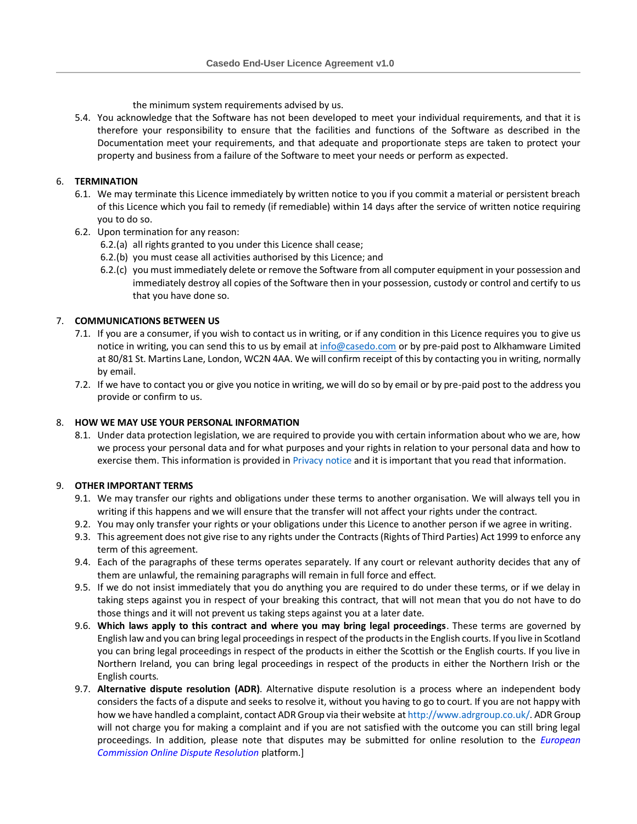the minimum system requirements advised by us.

5.4. You acknowledge that the Software has not been developed to meet your individual requirements, and that it is therefore your responsibility to ensure that the facilities and functions of the Software as described in the Documentation meet your requirements, and that adequate and proportionate steps are taken to protect your property and business from a failure of the Software to meet your needs or perform as expected.

# 6. **TERMINATION**

- 6.1. We may terminate this Licence immediately by written notice to you if you commit a material or persistent breach of this Licence which you fail to remedy (if remediable) within 14 days after the service of written notice requiring you to do so.
- 6.2. Upon termination for any reason:
	- 6.2.(a) all rights granted to you under this Licence shall cease;
	- 6.2.(b) you must cease all activities authorised by this Licence; and
	- 6.2.(c) you must immediately delete or remove the Software from all computer equipment in your possession and immediately destroy all copies of the Software then in your possession, custody or control and certify to us that you have done so.

## 7. **COMMUNICATIONS BETWEEN US**

- 7.1. If you are a consumer, if you wish to contact us in writing, or if any condition in this Licence requires you to give us notice in writing, you can send this to us by email a[t info@casedo.com](mailto:info@casedo.com) or by pre-paid post to Alkhamware Limited at 80/81 St. Martins Lane, London, WC2N 4AA. We will confirm receipt of this by contacting you in writing, normally by email.
- 7.2. If we have to contact you or give you notice in writing, we will do so by email or by pre-paid post to the address you provide or confirm to us.

## 8. **HOW WE MAY USE YOUR PERSONAL INFORMATION**

8.1. Under data protection legislation, we are required to provide you with certain information about who we are, how we process your personal data and for what purposes and your rights in relation to your personal data and how to exercise them. This information is provided i[n Privacy notice](https://casedo.com/privacy) and it is important that you read that information.

## 9. **OTHER IMPORTANT TERMS**

- 9.1. We may transfer our rights and obligations under these terms to another organisation. We will always tell you in writing if this happens and we will ensure that the transfer will not affect your rights under the contract.
- 9.2. You may only transfer your rights or your obligations under this Licence to another person if we agree in writing.
- 9.3. This agreement does not give rise to any rights under the Contracts (Rights of Third Parties) Act 1999 to enforce any term of this agreement.
- 9.4. Each of the paragraphs of these terms operates separately. If any court or relevant authority decides that any of them are unlawful, the remaining paragraphs will remain in full force and effect.
- 9.5. If we do not insist immediately that you do anything you are required to do under these terms, or if we delay in taking steps against you in respect of your breaking this contract, that will not mean that you do not have to do those things and it will not prevent us taking steps against you at a later date.
- 9.6. **Which laws apply to this contract and where you may bring legal proceedings**. These terms are governed by English law and you can bring legal proceedings in respect of the products in the English courts. If you live in Scotland you can bring legal proceedings in respect of the products in either the Scottish or the English courts. If you live in Northern Ireland, you can bring legal proceedings in respect of the products in either the Northern Irish or the English courts.
- 9.7. **Alternative dispute resolution (ADR)**. Alternative dispute resolution is a process where an independent body considers the facts of a dispute and seeks to resolve it, without you having to go to court. If you are not happy with how we have handled a complaint, contact ADRGroup via their website a[t http://www.adrgroup.co.uk/.](http://www.adrgroup.co.uk/) ADR Group will not charge you for making a complaint and if you are not satisfied with the outcome you can still bring legal proceedings. In addition, please note that disputes may be submitted for online resolution to the *[European](http://ec.europa.eu/consumers/odr/)  [Commission Online Dispute Resolution](http://ec.europa.eu/consumers/odr/)* platform.]